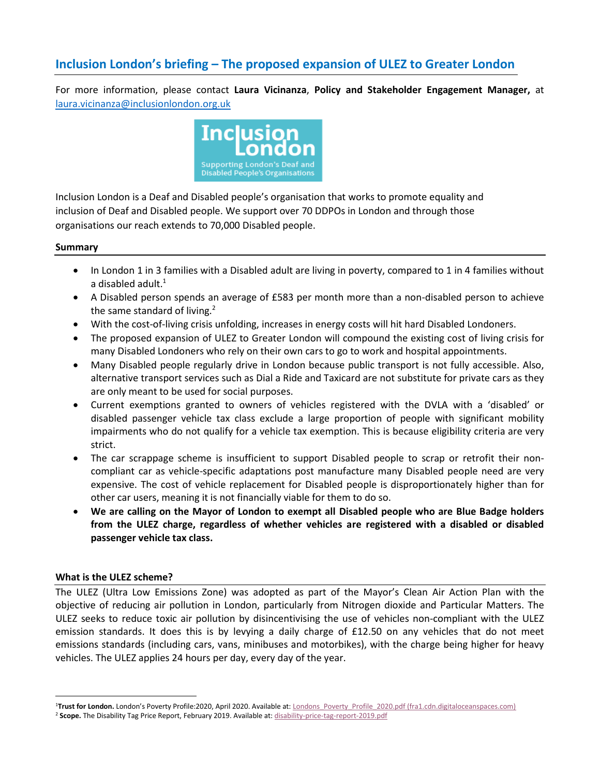# **Inclusion London's briefing – The proposed expansion of ULEZ to Greater London**

For more information, please contact **Laura Vicinanza**, **Policy and Stakeholder Engagement Manager,** at [laura.vicinanza@inclusionlondon.org.uk](mailto:laura.vicinanza@inclusionlondon.org.uk)



Inclusion London is a Deaf and Disabled people's organisation that works to promote equality and inclusion of Deaf and Disabled people. We support over 70 DDPOs in London and through those organisations our reach extends to 70,000 Disabled people.

#### **Summary**

- In London 1 in 3 families with a Disabled adult are living in poverty, compared to 1 in 4 families without a disabled adult. $1$
- A Disabled person spends an average of £583 per month more than a non-disabled person to achieve the same standard of living. $2$
- With the cost-of-living crisis unfolding, increases in energy costs will hit hard Disabled Londoners.
- The proposed expansion of ULEZ to Greater London will compound the existing cost of living crisis for many Disabled Londoners who rely on their own cars to go to work and hospital appointments.
- Many Disabled people regularly drive in London because public transport is not fully accessible. Also, alternative transport services such as Dial a Ride and Taxicard are not substitute for private cars as they are only meant to be used for social purposes.
- Current exemptions granted to owners of vehicles registered with the DVLA with a 'disabled' or disabled passenger vehicle tax class exclude a large proportion of people with significant mobility impairments who do not qualify for a vehicle tax exemption. This is because eligibility criteria are very strict.
- The car scrappage scheme is insufficient to support Disabled people to scrap or retrofit their noncompliant car as vehicle-specific adaptations post manufacture many Disabled people need are very expensive. The cost of vehicle replacement for Disabled people is disproportionately higher than for other car users, meaning it is not financially viable for them to do so.
- **We are calling on the Mayor of London to exempt all Disabled people who are Blue Badge holders from the ULEZ charge, regardless of whether vehicles are registered with a disabled or disabled passenger vehicle tax class.**

## **What is the ULEZ scheme?**

The ULEZ (Ultra Low Emissions Zone) was adopted as part of the Mayor's Clean Air Action Plan with the objective of reducing air pollution in London, particularly from Nitrogen dioxide and Particular Matters. The ULEZ seeks to reduce toxic air pollution by disincentivising the use of vehicles non-compliant with the ULEZ emission standards. It does this is by levying a daily charge of £12.50 on any vehicles that do not meet emissions standards (including cars, vans, minibuses and motorbikes), with the charge being higher for heavy vehicles. The ULEZ applies 24 hours per day, every day of the year.

<sup>&</sup>lt;sup>1</sup>Trust for London. London's Poverty Profile:2020, April 2020. Available at: Londons Poverty Profile 2020.pdf (fra1.cdn.digitaloceanspaces.com)

<sup>2</sup> **Scope.** The Disability Tag Price Report, February 2019. Available at[: disability-price-tag-report-2019.pdf](file:///C:/Users/LauraVicinanza/Downloads/disability-price-tag-report-2019.pdf)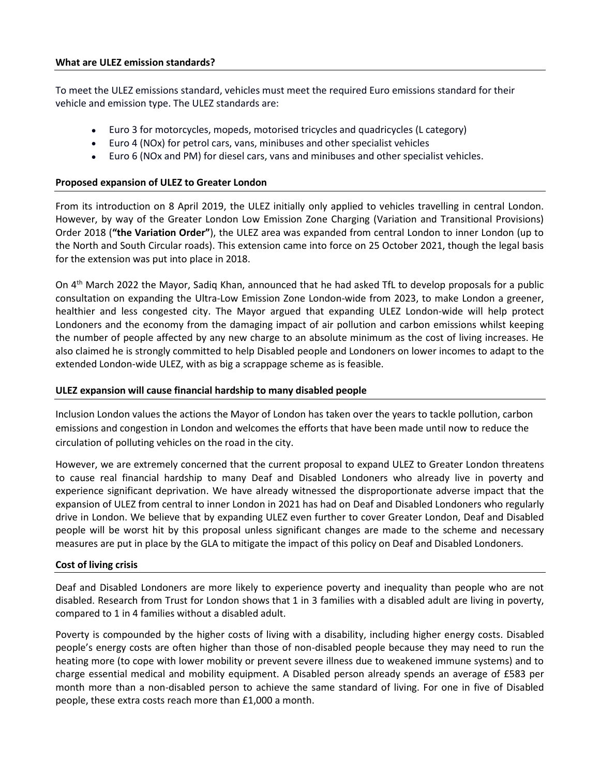#### **What are ULEZ emission standards?**

To meet the ULEZ emissions standard, vehicles must meet the required Euro emissions standard for their vehicle and emission type. The ULEZ standards are:

- Euro 3 for motorcycles, mopeds, motorised tricycles and quadricycles (L category)
- Euro 4 (NOx) for petrol cars, vans, minibuses and other specialist vehicles
- Euro 6 (NOx and PM) for diesel cars, vans and minibuses and other specialist vehicles.

# **Proposed expansion of ULEZ to Greater London**

From its introduction on 8 April 2019, the ULEZ initially only applied to vehicles travelling in central London. However, by way of the Greater London Low Emission Zone Charging (Variation and Transitional Provisions) Order 2018 (**"the Variation Order"**), the ULEZ area was expanded from central London to inner London (up to the North and South Circular roads). This extension came into force on 25 October 2021, though the legal basis for the extension was put into place in 2018.

On 4<sup>th</sup> March 2022 the Mayor, Sadiq Khan, announced that he had asked TfL to develop proposals for a public consultation on expanding the Ultra-Low Emission Zone London-wide from 2023, to make London a greener, healthier and less congested city. The Mayor argued that expanding ULEZ London-wide will help protect Londoners and the economy from the damaging impact of air pollution and carbon emissions whilst keeping the number of people affected by any new charge to an absolute minimum as the cost of living increases. He also claimed he is strongly committed to help Disabled people and Londoners on lower incomes to adapt to the extended London-wide ULEZ, with as big a scrappage scheme as is feasible.

# **ULEZ expansion will cause financial hardship to many disabled people**

Inclusion London values the actions the Mayor of London has taken over the years to tackle pollution, carbon emissions and congestion in London and welcomes the efforts that have been made until now to reduce the circulation of polluting vehicles on the road in the city.

However, we are extremely concerned that the current proposal to expand ULEZ to Greater London threatens to cause real financial hardship to many Deaf and Disabled Londoners who already live in poverty and experience significant deprivation. We have already witnessed the disproportionate adverse impact that the expansion of ULEZ from central to inner London in 2021 has had on Deaf and Disabled Londoners who regularly drive in London. We believe that by expanding ULEZ even further to cover Greater London, Deaf and Disabled people will be worst hit by this proposal unless significant changes are made to the scheme and necessary measures are put in place by the GLA to mitigate the impact of this policy on Deaf and Disabled Londoners.

## **Cost of living crisis**

Deaf and Disabled Londoners are more likely to experience poverty and inequality than people who are not disabled. Research from Trust for London shows that 1 in 3 families with a disabled adult are living in poverty, compared to 1 in 4 families without a disabled adult.

Poverty is compounded by the higher costs of living with a disability, including higher energy costs. Disabled people's energy costs are often higher than those of non-disabled people because they may need to run the heating more (to cope with lower mobility or prevent severe illness due to weakened immune systems) and to charge essential medical and mobility equipment. A Disabled person already spends an average of £583 per month more than a non-disabled person to achieve the same standard of living. For one in five of Disabled people, these extra costs reach more than £1,000 a month.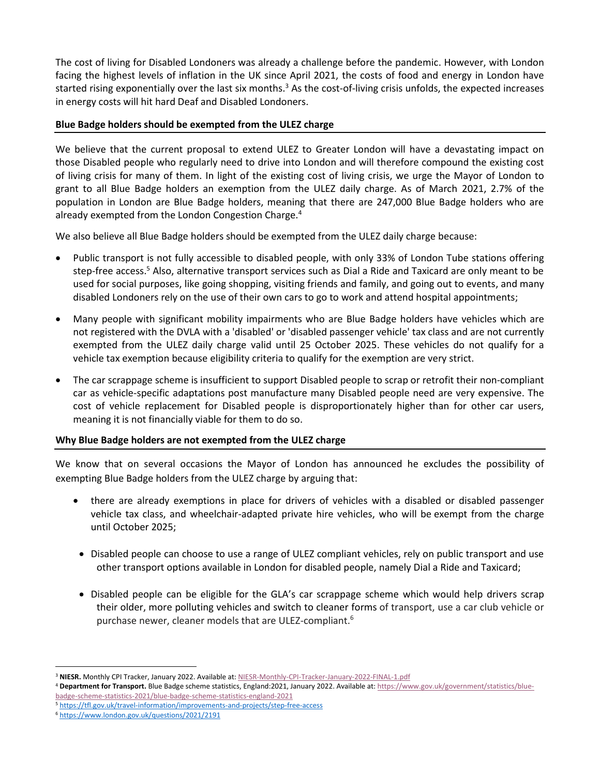The cost of living for Disabled Londoners was already a challenge before the pandemic. However, with London facing the highest levels of inflation in the UK since April 2021, the costs of food and energy in London have started rising exponentially over the last six months.<sup>3</sup> As the cost-of-living crisis unfolds, the expected increases in energy costs will hit hard Deaf and Disabled Londoners.

## **Blue Badge holders should be exempted from the ULEZ charge**

We believe that the current proposal to extend ULEZ to Greater London will have a devastating impact on those Disabled people who regularly need to drive into London and will therefore compound the existing cost of living crisis for many of them. In light of the existing cost of living crisis, we urge the Mayor of London to grant to all Blue Badge holders an exemption from the ULEZ daily charge. As of March 2021, 2.7% of the population in London are Blue Badge holders, meaning that there are 247,000 Blue Badge holders who are already exempted from the London Congestion Charge.<sup>4</sup>

We also believe all Blue Badge holders should be exempted from the ULEZ daily charge because:

- Public transport is not fully accessible to disabled people, with only 33% of London Tube stations offering step-free access.<sup>5</sup> Also, alternative transport services such as Dial a Ride and Taxicard are only meant to be used for social purposes, like going shopping, visiting friends and family, and going out to events, and many disabled Londoners rely on the use of their own cars to go to work and attend hospital appointments;
- Many people with significant mobility impairments who are Blue Badge holders have vehicles which are not registered with the DVLA with a 'disabled' or 'disabled passenger vehicle' tax class and are not currently exempted from the ULEZ daily charge valid until 25 October 2025. These vehicles do not qualify for a vehicle tax exemption because eligibility criteria to qualify for the exemption are very strict.
- The car scrappage scheme is insufficient to support Disabled people to scrap or retrofit their non-compliant car as vehicle-specific adaptations post manufacture many Disabled people need are very expensive. The cost of vehicle replacement for Disabled people is disproportionately higher than for other car users, meaning it is not financially viable for them to do so.

## **Why Blue Badge holders are not exempted from the ULEZ charge**

We know that on several occasions the Mayor of London has announced he excludes the possibility of exempting Blue Badge holders from the ULEZ charge by arguing that:

- there are already exemptions in place for drivers of vehicles with a disabled or disabled passenger vehicle tax class, and wheelchair-adapted private hire vehicles, who will be exempt from the charge until October 2025;
- Disabled people can choose to use a range of ULEZ compliant vehicles, rely on public transport and use other transport options available in London for disabled people, namely Dial a Ride and Taxicard;
- Disabled people can be eligible for the GLA's car scrappage scheme which would help drivers scrap their older, more polluting vehicles and switch to cleaner forms of transport, use a car club vehicle or purchase newer, cleaner models that are ULEZ-compliant.<sup>6</sup>

<sup>3</sup> **NIESR.** Monthly CPI Tracker, January 2022. Available at[: NIESR-Monthly-CPI-Tracker-January-2022-FINAL-1.pdf](https://www.niesr.ac.uk/wp-content/uploads/2022/01/NIESR-Monthly-CPI-Tracker-January-2022-FINAL-1.pdf)

<sup>4</sup> **Department for Transport.** Blue Badge scheme statistics, England:2021, January 2022. Available at: [https://www.gov.uk/government/statistics/blue](https://www.gov.uk/government/statistics/blue-badge-scheme-statistics-2021/blue-badge-scheme-statistics-england-2021)[badge-scheme-statistics-2021/blue-badge-scheme-statistics-england-2021](https://www.gov.uk/government/statistics/blue-badge-scheme-statistics-2021/blue-badge-scheme-statistics-england-2021)

<sup>5</sup> <https://tfl.gov.uk/travel-information/improvements-and-projects/step-free-access>

<sup>6</sup> <https://www.london.gov.uk/questions/2021/2191>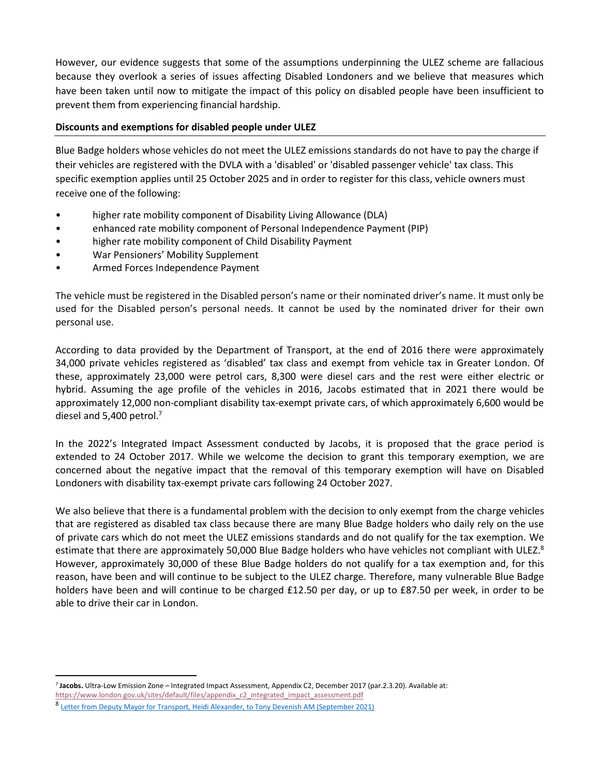However, our evidence suggests that some of the assumptions underpinning the ULEZ scheme are fallacious because they overlook a series of issues affecting Disabled Londoners and we believe that measures which have been taken until now to mitigate the impact of this policy on disabled people have been insufficient to prevent them from experiencing financial hardship.

# **Discounts and exemptions for disabled people under ULEZ**

Blue Badge holders whose vehicles do not meet the ULEZ emissions standards do not have to pay the charge if their vehicles are registered with the DVLA with a 'disabled' or 'disabled passenger vehicle' tax class. This specific exemption applies until 25 October 2025 and in order to register for this class, vehicle owners must receive one of the following:

- higher rate mobility component of Disability Living Allowance (DLA)
- enhanced rate mobility component of Personal Independence Payment (PIP)
- higher rate mobility component of Child Disability Payment
- War Pensioners' Mobility Supplement
- Armed Forces Independence Payment

The vehicle must be registered in the Disabled person's name or their nominated driver's name. It must only be used for the Disabled person's personal needs. It cannot be used by the nominated driver for their own personal use.

According to data provided by the Department of Transport, at the end of 2016 there were approximately 34,000 private vehicles registered as 'disabled' tax class and exempt from vehicle tax in Greater London. Of these, approximately 23,000 were petrol cars, 8,300 were diesel cars and the rest were either electric or hybrid. Assuming the age profile of the vehicles in 2016, Jacobs estimated that in 2021 there would be approximately 12,000 non-compliant disability tax-exempt private cars, of which approximately 6,600 would be diesel and 5,400 petrol.<sup>7</sup>

In the 2022's Integrated Impact Assessment conducted by Jacobs, it is proposed that the grace period is extended to 24 October 2017. While we welcome the decision to grant this temporary exemption, we are concerned about the negative impact that the removal of this temporary exemption will have on Disabled Londoners with disability tax-exempt private cars following 24 October 2027.

We also believe that there is a fundamental problem with the decision to only exempt from the charge vehicles that are registered as disabled tax class because there are many Blue Badge holders who daily rely on the use of private cars which do not meet the ULEZ emissions standards and do not qualify for the tax exemption. We estimate that there are approximately 50,000 Blue Badge holders who have vehicles not compliant with ULEZ.<sup>8</sup> However, approximately 30,000 of these Blue Badge holders do not qualify for a tax exemption and, for this reason, have been and will continue to be subject to the ULEZ charge. Therefore, many vulnerable Blue Badge holders have been and will continue to be charged £12.50 per day, or up to £87.50 per week, in order to be able to drive their car in London.

<sup>7</sup> **Jacobs.** Ultra-Low Emission Zone – Integrated Impact Assessment, Appendix C2, December 2017 (par.2.3.20). Available at:

[https://www.london.gov.uk/sites/default/files/appendix\\_c2\\_integrated\\_impact\\_assessment.pdf](https://www.london.gov.uk/sites/default/files/appendix_c2_integrated_impact_assessment.pdf)

<sup>8</sup> Letter from [Deputy Mayor for Transport, Heidi Alexander, to Tony Devenish AM \(September 2021\)](file:///C:/Users/LauraVicinanza/OneDrive%20-%20Inclusion%20London/Desktop/TD%20-%20HA%20070921%20(002).pdf)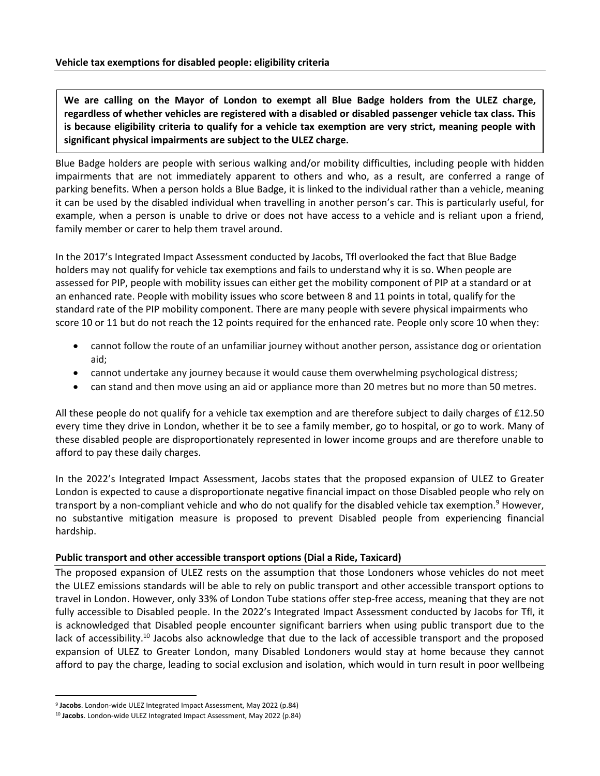**We are calling on the Mayor of London to exempt all Blue Badge holders from the ULEZ charge, regardless of whether vehicles are registered with a disabled or disabled passenger vehicle tax class. This is because eligibility criteria to qualify for a vehicle tax exemption are very strict, meaning people with significant physical impairments are subject to the ULEZ charge.** 

Blue Badge holders are people with serious walking and/or mobility difficulties, including people with hidden impairments that are not immediately apparent to others and who, as a result, are conferred a range of parking benefits. When a person holds a Blue Badge, it is linked to the individual rather than a vehicle, meaning it can be used by the disabled individual when travelling in another person's car. This is particularly useful, for example, when a person is unable to drive or does not have access to a vehicle and is reliant upon a friend, family member or carer to help them travel around.

In the 2017's Integrated Impact Assessment conducted by Jacobs, Tfl overlooked the fact that Blue Badge holders may not qualify for vehicle tax exemptions and fails to understand why it is so. When people are assessed for PIP, people with mobility issues can either get the mobility component of PIP at a standard or at an enhanced rate. People with mobility issues who score between 8 and 11 points in total, qualify for the standard rate of the PIP mobility component. There are many people with severe physical impairments who score 10 or 11 but do not reach the 12 points required for the enhanced rate. People only score 10 when they:

- cannot follow the route of an unfamiliar journey without another person, assistance dog or orientation aid;
- cannot undertake any journey because it would cause them overwhelming psychological distress;
- can stand and then move using an aid or appliance more than 20 metres but no more than 50 metres.

All these people do not qualify for a vehicle tax exemption and are therefore subject to daily charges of £12.50 every time they drive in London, whether it be to see a family member, go to hospital, or go to work. Many of these disabled people are disproportionately represented in lower income groups and are therefore unable to afford to pay these daily charges.

In the 2022's Integrated Impact Assessment, Jacobs states that the proposed expansion of ULEZ to Greater London is expected to cause a disproportionate negative financial impact on those Disabled people who rely on transport by a non-compliant vehicle and who do not qualify for the disabled vehicle tax exemption.<sup>9</sup> However, no substantive mitigation measure is proposed to prevent Disabled people from experiencing financial hardship.

## **Public transport and other accessible transport options (Dial a Ride, Taxicard)**

The proposed expansion of ULEZ rests on the assumption that those Londoners whose vehicles do not meet the ULEZ emissions standards will be able to rely on public transport and other accessible transport options to travel in London. However, only 33% of London Tube stations offer step-free access, meaning that they are not fully accessible to Disabled people. In the 2022's Integrated Impact Assessment conducted by Jacobs for Tfl, it is acknowledged that Disabled people encounter significant barriers when using public transport due to the lack of accessibility.<sup>10</sup> Jacobs also acknowledge that due to the lack of accessible transport and the proposed expansion of ULEZ to Greater London, many Disabled Londoners would stay at home because they cannot afford to pay the charge, leading to social exclusion and isolation, which would in turn result in poor wellbeing

<sup>9</sup> **Jacobs**. London-wide ULEZ Integrated Impact Assessment, May 2022 (p.84)

<sup>10</sup> **Jacobs**. London-wide ULEZ Integrated Impact Assessment, May 2022 (p.84)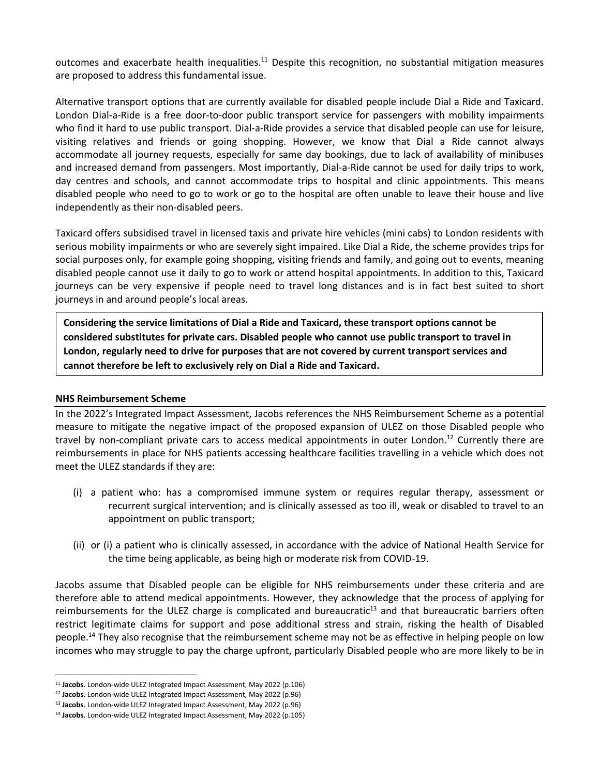outcomes and exacerbate health inequalities.<sup>11</sup> Despite this recognition, no substantial mitigation measures are proposed to address this fundamental issue.

Alternative transport options that are currently available for disabled people include Dial a Ride and Taxicard. London Dial-a-Ride is a free door-to-door public transport service for passengers with mobility impairments who find it hard to use public transport. Dial-a-Ride provides a service that disabled people can use for leisure, visiting relatives and friends or going shopping. However, we know that Dial a Ride cannot always accommodate all journey requests, especially for same day bookings, due to lack of availability of minibuses and increased demand from passengers. Most importantly, Dial-a-Ride cannot be used for daily trips to work, day centres and schools, and cannot accommodate trips to hospital and clinic appointments. This means disabled people who need to go to work or go to the hospital are often unable to leave their house and live independently as their non-disabled peers.

Taxicard offers subsidised travel in licensed taxis and private hire vehicles (mini cabs) to London residents with serious mobility impairments or who are severely sight impaired. Like Dial a Ride, the scheme provides trips for social purposes only, for example going shopping, visiting friends and family, and going out to events, meaning disabled people cannot use it daily to go to work or attend hospital appointments. In addition to this, Taxicard journeys can be very expensive if people need to travel long distances and is in fact best suited to short journeys in and around people's local areas.

**Considering the service limitations of Dial a Ride and Taxicard, these transport options cannot be considered substitutes for private cars. Disabled people who cannot use public transport to travel in London, regularly need to drive for purposes that are not covered by current transport services and cannot therefore be left to exclusively rely on Dial a Ride and Taxicard.**

## **NHS Reimbursement Scheme**

In the 2022's Integrated Impact Assessment, Jacobs references the NHS Reimbursement Scheme as a potential measure to mitigate the negative impact of the proposed expansion of ULEZ on those Disabled people who travel by non-compliant private cars to access medical appointments in outer London.<sup>12</sup> Currently there are reimbursements in place for NHS patients accessing healthcare facilities travelling in a vehicle which does not meet the ULEZ standards if they are:

- (i) a patient who: has a compromised immune system or requires regular therapy, assessment or recurrent surgical intervention; and is clinically assessed as too ill, weak or disabled to travel to an appointment on public transport;
- (ii) or (i) a patient who is clinically assessed, in accordance with the advice of National Health Service for the time being applicable, as being high or moderate risk from COVID-19.

Jacobs assume that Disabled people can be eligible for NHS reimbursements under these criteria and are therefore able to attend medical appointments. However, they acknowledge that the process of applying for reimbursements for the ULEZ charge is complicated and bureaucratic $13$  and that bureaucratic barriers often restrict legitimate claims for support and pose additional stress and strain, risking the health of Disabled people.<sup>14</sup> They also recognise that the reimbursement scheme may not be as effective in helping people on low incomes who may struggle to pay the charge upfront, particularly Disabled people who are more likely to be in

<sup>11</sup> **Jacobs**. London-wide ULEZ Integrated Impact Assessment, May 2022 (p.106)

<sup>12</sup> **Jacobs**. London-wide ULEZ Integrated Impact Assessment, May 2022 (p.96)

<sup>13</sup> **Jacobs**. London-wide ULEZ Integrated Impact Assessment, May 2022 (p.96)

<sup>14</sup> **Jacobs**. London-wide ULEZ Integrated Impact Assessment, May 2022 (p.105)